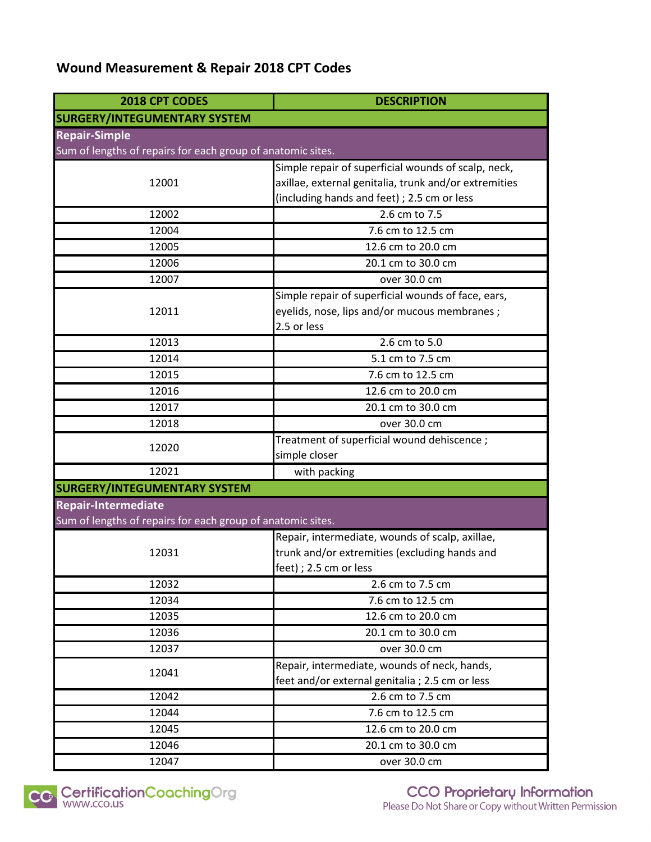# **Wound Measurement & Repair 2018 CPT Codes**

| 2018 CPT CODES                                              | <b>DESCRIPTION</b>                                    |
|-------------------------------------------------------------|-------------------------------------------------------|
| <b>SURGERY/INTEGUMENTARY SYSTEM</b>                         |                                                       |
| <b>Repair-Simple</b>                                        |                                                       |
| Sum of lengths of repairs for each group of anatomic sites. |                                                       |
|                                                             | Simple repair of superficial wounds of scalp, neck,   |
| 12001                                                       | axillae, external genitalia, trunk and/or extremities |
|                                                             | (including hands and feet) ; 2.5 cm or less           |
| 12002                                                       | 2.6 cm to 7.5                                         |
| 12004                                                       | 7.6 cm to 12.5 cm                                     |
| 12005                                                       | 12.6 cm to 20.0 cm                                    |
| 12006                                                       | 20.1 cm to 30.0 cm                                    |
| 12007                                                       | over 30.0 cm                                          |
|                                                             | Simple repair of superficial wounds of face, ears,    |
| 12011                                                       | eyelids, nose, lips and/or mucous membranes;          |
|                                                             | 2.5 or less                                           |
| 12013                                                       | 2.6 cm to 5.0                                         |
| 12014                                                       | 5.1 cm to 7.5 cm                                      |
| 12015                                                       | 7.6 cm to 12.5 cm                                     |
| 12016                                                       | 12.6 cm to 20.0 cm                                    |
| 12017                                                       | 20.1 cm to 30.0 cm                                    |
| 12018                                                       | over 30.0 cm                                          |
|                                                             | Treatment of superficial wound dehiscence;            |
| 12020                                                       | simple closer                                         |
| 12021                                                       | with packing                                          |
| <b>SURGERY/INTEGUMENTARY SYSTEM</b>                         |                                                       |
| <b>Repair-Intermediate</b>                                  |                                                       |
| Sum of lengths of repairs for each group of anatomic sites. |                                                       |
|                                                             | Repair, intermediate, wounds of scalp, axillae,       |
| 12031                                                       | trunk and/or extremities (excluding hands and         |
|                                                             | feet) : 2.5 cm or less                                |
| 12032                                                       | 2.6 cm to 7.5 cm                                      |
| 12034                                                       | 7.6 cm to 12.5 cm                                     |
| 12035                                                       | 12.6 cm to 20.0 cm                                    |
| 12036                                                       | 20.1 cm to 30.0 cm                                    |
| 12037                                                       | over 30.0 cm                                          |
| 12041                                                       | Repair, intermediate, wounds of neck, hands,          |
|                                                             | feet and/or external genitalia ; 2.5 cm or less       |
| 12042                                                       | $2.6$ cm to 7.5 cm                                    |
| 12044                                                       | 7.6 cm to 12.5 cm                                     |
| 12045                                                       | 12.6 cm to 20.0 cm                                    |
| 12046                                                       | 20.1 cm to 30.0 cm                                    |
| 12047                                                       | over 30.0 cm                                          |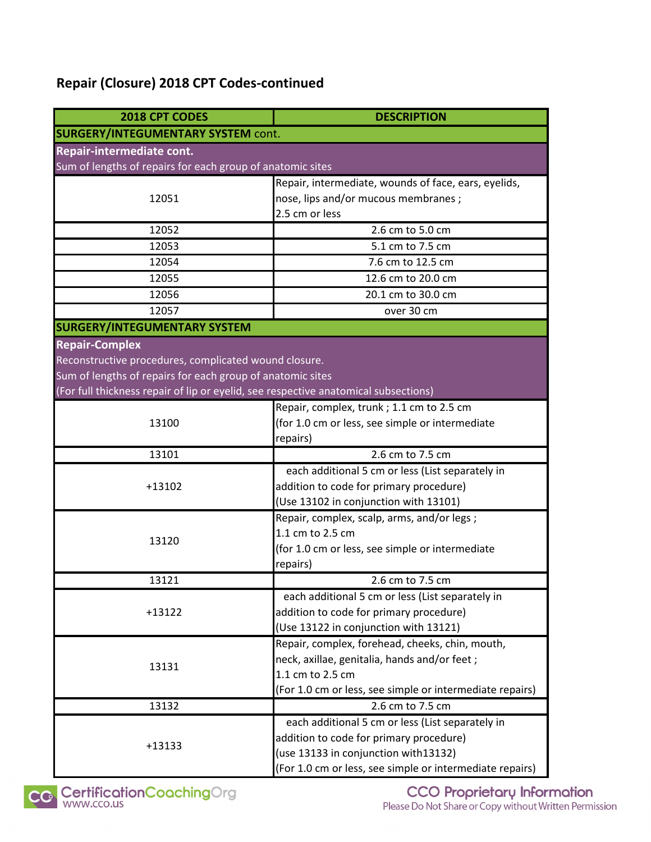# **Repair (Closure) 2018 CPT Codes-continued**

| 2018 CPT CODES                                                                      | <b>DESCRIPTION</b>                                       |  |
|-------------------------------------------------------------------------------------|----------------------------------------------------------|--|
| <b>SURGERY/INTEGUMENTARY SYSTEM cont.</b>                                           |                                                          |  |
| Repair-intermediate cont.                                                           |                                                          |  |
| Sum of lengths of repairs for each group of anatomic sites                          |                                                          |  |
|                                                                                     | Repair, intermediate, wounds of face, ears, eyelids,     |  |
| 12051                                                                               | nose, lips and/or mucous membranes;                      |  |
|                                                                                     | 2.5 cm or less                                           |  |
| 12052                                                                               | 2.6 cm to 5.0 cm                                         |  |
| 12053                                                                               | 5.1 cm to 7.5 cm                                         |  |
| 12054                                                                               | 7.6 cm to 12.5 cm                                        |  |
| 12055                                                                               | 12.6 cm to 20.0 cm                                       |  |
| 12056                                                                               | 20.1 cm to 30.0 cm                                       |  |
| 12057                                                                               | over 30 cm                                               |  |
| <b>SURGERY/INTEGUMENTARY SYSTEM</b>                                                 |                                                          |  |
| <b>Repair-Complex</b>                                                               |                                                          |  |
| Reconstructive procedures, complicated wound closure.                               |                                                          |  |
| Sum of lengths of repairs for each group of anatomic sites                          |                                                          |  |
| (For full thickness repair of lip or eyelid, see respective anatomical subsections) |                                                          |  |
|                                                                                     | Repair, complex, trunk; 1.1 cm to 2.5 cm                 |  |
| 13100                                                                               | (for 1.0 cm or less, see simple or intermediate          |  |
|                                                                                     | repairs)                                                 |  |
| 13101                                                                               | 2.6 cm to 7.5 cm                                         |  |
|                                                                                     | each additional 5 cm or less (List separately in         |  |
| $+13102$                                                                            | addition to code for primary procedure)                  |  |
|                                                                                     | (Use 13102 in conjunction with 13101)                    |  |
|                                                                                     | Repair, complex, scalp, arms, and/or legs;               |  |
|                                                                                     | 1.1 cm to 2.5 cm                                         |  |
| 13120                                                                               | (for 1.0 cm or less, see simple or intermediate          |  |
|                                                                                     | repairs)                                                 |  |
| 13121                                                                               | 2.6 cm to 7.5 cm                                         |  |
| $+13122$                                                                            | each additional 5 cm or less (List separately in         |  |
|                                                                                     | addition to code for primary procedure)                  |  |
|                                                                                     | (Use 13122 in conjunction with 13121)                    |  |
| 13131                                                                               | Repair, complex, forehead, cheeks, chin, mouth,          |  |
|                                                                                     | neck, axillae, genitalia, hands and/or feet;             |  |
|                                                                                     | 1.1 cm to 2.5 cm                                         |  |
|                                                                                     | (For 1.0 cm or less, see simple or intermediate repairs) |  |
| 13132                                                                               | 2.6 cm to 7.5 cm                                         |  |
| $+13133$                                                                            | each additional 5 cm or less (List separately in         |  |
|                                                                                     | addition to code for primary procedure)                  |  |
|                                                                                     | (use 13133 in conjunction with13132)                     |  |
|                                                                                     | (For 1.0 cm or less, see simple or intermediate repairs) |  |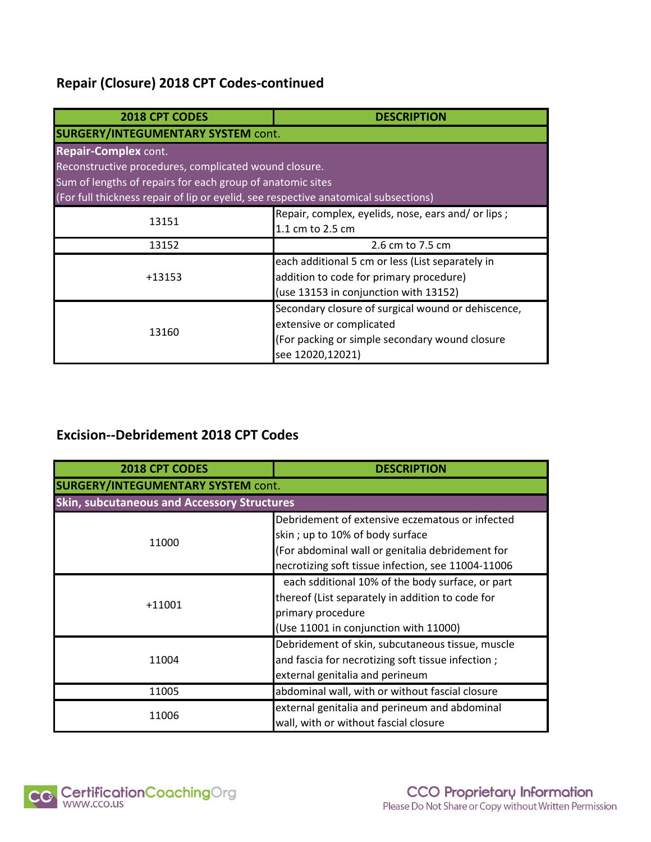# **Repair (Closure) 2018 CPT Codes-continued**

| 2018 CPT CODES                                                                      | <b>DESCRIPTION</b>                                 |  |
|-------------------------------------------------------------------------------------|----------------------------------------------------|--|
| <b>SURGERY/INTEGUMENTARY SYSTEM cont.</b>                                           |                                                    |  |
| <b>Repair-Complex cont.</b>                                                         |                                                    |  |
| Reconstructive procedures, complicated wound closure.                               |                                                    |  |
| Sum of lengths of repairs for each group of anatomic sites                          |                                                    |  |
| (For full thickness repair of lip or eyelid, see respective anatomical subsections) |                                                    |  |
| 13151                                                                               | Repair, complex, eyelids, nose, ears and/ or lips; |  |
|                                                                                     | 1.1 cm to 2.5 cm                                   |  |
| 13152                                                                               | 2.6 cm to 7.5 cm                                   |  |
| $+13153$                                                                            | each additional 5 cm or less (List separately in   |  |
|                                                                                     | addition to code for primary procedure)            |  |
|                                                                                     | (use 13153 in conjunction with 13152)              |  |
| 13160                                                                               | Secondary closure of surgical wound or dehiscence, |  |
|                                                                                     | extensive or complicated                           |  |
|                                                                                     | (For packing or simple secondary wound closure     |  |
|                                                                                     | see 12020,12021)                                   |  |

# **Excision--Debridement 2018 CPT Codes**

| 2018 CPT CODES                                     | <b>DESCRIPTION</b>                                                                                                                                                                           |  |
|----------------------------------------------------|----------------------------------------------------------------------------------------------------------------------------------------------------------------------------------------------|--|
| <b>SURGERY/INTEGUMENTARY SYSTEM cont.</b>          |                                                                                                                                                                                              |  |
| <b>Skin, subcutaneous and Accessory Structures</b> |                                                                                                                                                                                              |  |
| 11000                                              | Debridement of extensive eczematous or infected<br>skin; up to 10% of body surface<br>(For abdominal wall or genitalia debridement for<br>necrotizing soft tissue infection, see 11004-11006 |  |
| $+11001$                                           | each sdditional 10% of the body surface, or part<br>thereof (List separately in addition to code for<br>primary procedure<br>(Use 11001 in conjunction with 11000)                           |  |
| 11004                                              | Debridement of skin, subcutaneous tissue, muscle<br>and fascia for necrotizing soft tissue infection;<br>external genitalia and perineum                                                     |  |
| 11005                                              | abdominal wall, with or without fascial closure                                                                                                                                              |  |
| 11006                                              | external genitalia and perineum and abdominal<br>wall, with or without fascial closure                                                                                                       |  |